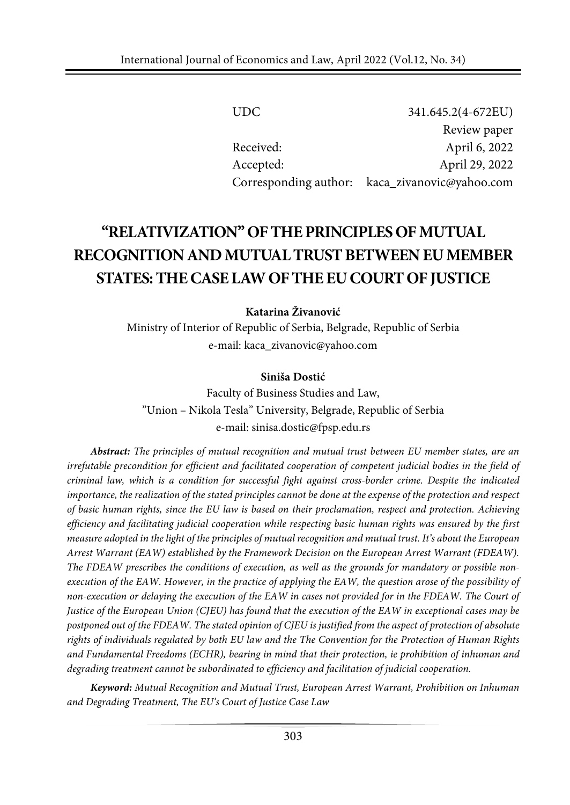| <b>UDC</b> | 341.645.2(4-672EU)                             |
|------------|------------------------------------------------|
|            | Review paper                                   |
| Received:  | April 6, 2022                                  |
| Accepted:  | April 29, 2022                                 |
|            | Corresponding author: kaca_zivanovic@yahoo.com |

# **"RELATIVIZATION" OFTHEPRINCIPLESOFMUTUAL RECOGNITIONANDMUTUALTRUSTBETWEEN EUMEMBER STATES:THECASE LAWOFTHE EUCOURTOF JUSTICE**

#### **Katarina Živanović**

Ministry of Interior of Republic of Serbia, Belgrade, Republic of Serbia e-mail: kaca\_zivanovic@yahoo.com

#### **Siniša Dostić**

Faculty of Business Studies and Law, "Union – Nikola Tesla" University, Belgrade, Republic of Serbia e-mail: sinisa.dostic@fpsp.edu.rs

*Abstract: The principles of mutual recognition and mutual trust between EU member states, are an irrefutable precondition for efficient and facilitated cooperation of competent judicial bodies in the field of criminal law, which is a condition for successful fight against cross-border crime. Despite the indicated* importance, the realization of the stated principles cannot be done at the expense of the protection and respect *of basic human rights, since the EU law is based on their proclamation, respect and protection. Achieving efficiency and facilitating judicial cooperation while respecting basic human rights was ensured by the first* measure adopted in the light of the principles of mutual recognition and mutual trust. It's about the European *Arrest Warrant (EAW) established by the Framework Decision on the European Arrest Warrant (FDEAW). The FDEAW prescribes the conditions of execution, as well as the grounds for mandatory or possible non*execution of the EAW. However, in the practice of applying the EAW, the question arose of the possibility of non-execution or delaying the execution of the EAW in cases not provided for in the FDEAW. The Court of Justice of the European Union (CJEU) has found that the execution of the EAW in exceptional cases may be postponed out of the FDEAW. The stated opinion of CJEU is justified from the aspect of protection of absolute rights of individuals regulated by both EU law and the The Convention for the Protection of Human Rights *and Fundamental Freedoms (ECHR), bearing in mind that their protection, ie prohibition of inhuman and degrading treatment cannot be subordinated to efficiency and facilitation of judicial cooperation.*

*Keyword: Mutual Recognition and Mutual Trust, European Arrest Warrant, Prohibition on Inhuman and Degrading Treatment, The EU's Court of Justice Case Law*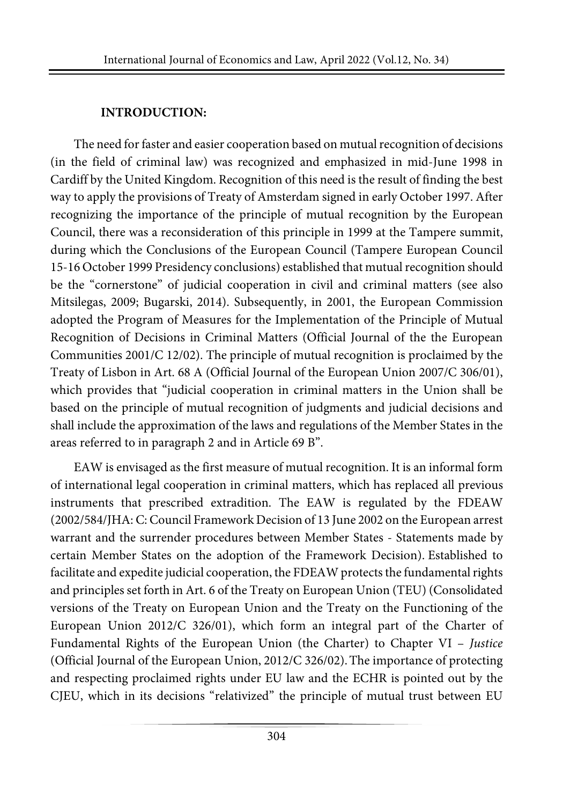#### **INTRODUCTION:**

The need for faster and easier cooperation based on mutual recognition of decisions (in the field of criminal law) was recognized and emphasized in mid-June 1998 in Cardiff by the United Kingdom. Recognition of this need is the result of finding the best way to apply the provisions of Treaty of Amsterdam signed in early October 1997. After recognizing the importance of the principle of mutual recognition by the European Council, there was a reconsideration of this principle in 1999 at the Tampere summit, during which the Conclusions of the European Council (Tampere European Council 15-16 October 1999 Presidency conclusions) established that mutualrecognition should be the "cornerstone" of judicial cooperation in civil and criminal matters (see also Mitsilegas, 2009; Bugarski, 2014). Subsequently, in 2001, the European Commission adopted the Program of Measures for the Implementation of the Principle of Mutual Recognition of Decisions in Criminal Matters (Official Journal of the the European Communities 2001/C 12/02). The principle of mutual recognition is proclaimed by the Treaty of Lisbon in Art. 68 A (Official Journal of the European Union 2007/C 306/01), which provides that "judicial cooperation in criminal matters in the Union shall be based on the principle of mutual recognition of judgments and judicial decisions and shall include the approximation of the laws and regulations of the Member States in the areas referred to in paragraph 2 and in Article 69 B".

EAW is envisaged as the first measure of mutual recognition. It is an informal form of international legal cooperation in criminal matters, which has replaced all previous instruments that prescribed extradition. The EAW is regulated by the FDEAW (2002/584/JHA: C: Council Framework Decision of 13 June 2002 on the European arrest warrant and the surrender procedures between Member States - Statements made by certain Member States on the adoption of the Framework Decision). Established to facilitate and expedite judicial cooperation, the FDEAW protects the fundamental rights and principles set forth in Art. 6 of the Treaty on European Union (TEU) (Consolidated versions of the Treaty on European Union and the Treaty on the Functioning of the European Union 2012/C 326/01), which form an integral part of the Charter of Fundamental Rights of the European Union (the Charter) to Chapter VI – *Justice* (Official Journal of the European Union, 2012/C 326/02).The importance of protecting and respecting proclaimed rights under EU law and the ECHR is pointed out by the CJEU, which in its decisions "relativized" the principle of mutual trust between EU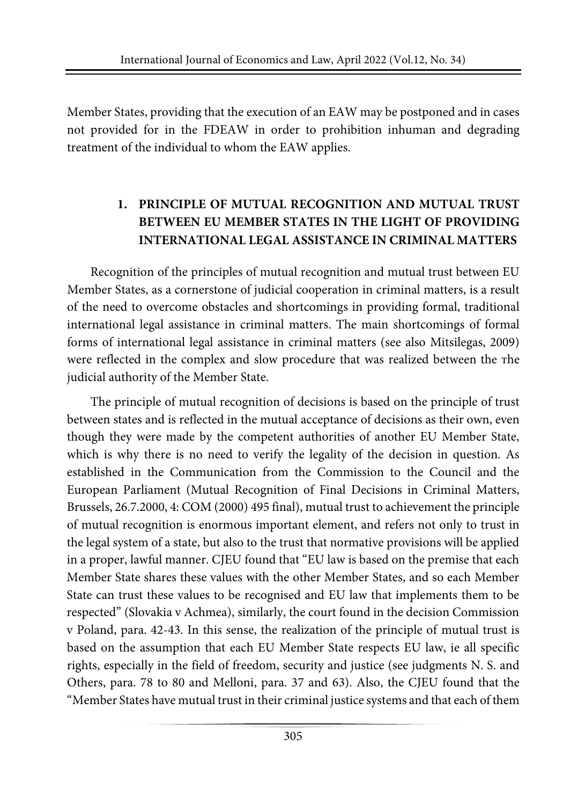Member States, providing that the execution of an EAW may be postponed and in cases not provided for in the FDEAW in order to prohibition inhuman and degrading treatment of the individual to whom the EAW applies.

# **1. PRINCIPLE OF MUTUAL RECOGNITION AND MUTUAL TRUST BETWEEN EU MEMBER STATES IN THE LIGHT OF PROVIDING INTERNATIONAL LEGAL ASSISTANCE IN CRIMINAL MATTERS**

Recognition of the principles of mutual recognition and mutual trust between EU Member States, as a cornerstone of judicial cooperation in criminal matters, is a result of the need to overcome obstacles and shortcomings in providing formal, traditional international legal assistance in criminal matters. The main shortcomings of formal forms of international legal assistance in criminal matters (see also Mitsilegas, 2009) were reflected in the complex and slow procedure that was realized between the тhe judicial authority of the Member State.

The principle of mutual recognition of decisions is based on the principle of trust between states and is reflected in the mutual acceptance of decisions as their own, even though they were made by the competent authorities of another EU Member State, which is why there is no need to verify the legality of the decision in question. As established in the Communication from the Commission to the Council and the European Parliament (Mutual Recognition of Final Decisions in Criminal Matters, Brussels, 26.7.2000, 4: COM (2000) 495 final), mutual trust to achievement the principle of mutual recognition is enormous important element, and refers not only to trust in the legal system of a state, but also to the trust that normative provisions will be applied in a proper, lawful manner. CJEU found that "EU law is based on the premise that each Member State shares these values with the other Member States, and so each Member State can trust these values to be recognised and EU law that implements them to be respected" (Slovakia v Achmea), similarly, the court found in the decision Commission v Poland, para. 42-43. In this sense, the realization of the principle of mutual trust is based on the assumption that each EU Member State respects EU law, ie all specific rights, especially in the field of freedom, security and justice (see judgments N. S. and Others, para. 78 to 80 and Melloni, para. 37 and 63). Also, the CJEU found that the "Member States have mutual trust in their criminal justice systems and that each of them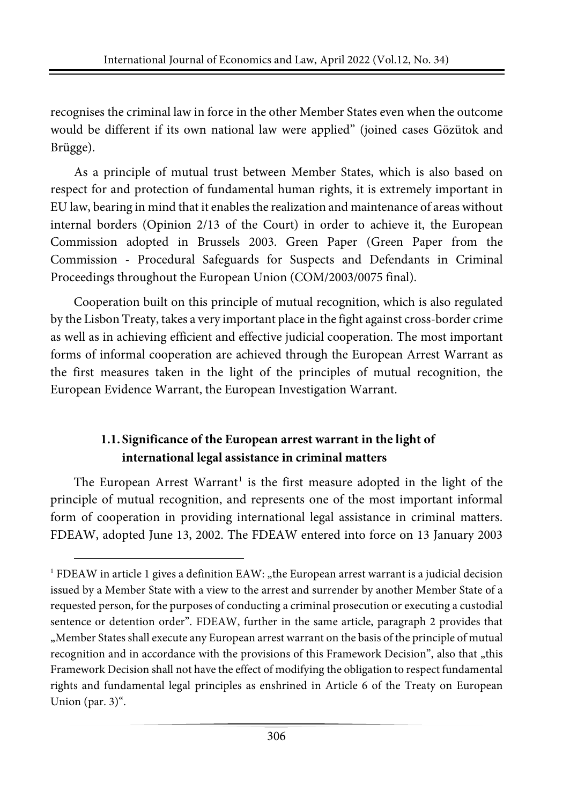recognises the criminal law in force in the other Member States even when the outcome would be different if its own national law were applied" (joined cases Gözütok and Brügge).

As a principle of mutual trust between Member States, which is also based on respect for and protection of fundamental human rights, it is extremely important in EU law, bearing in mind that it enables the realization and maintenance of areas without internal borders (Opinion 2/13 of the Court) in order to achieve it, the European Commission adopted in Brussels 2003. Green Paper (Green Paper from the Commission - Procedural Safeguards for Suspects and Defendants in Criminal Proceedings throughout the European Union (COM/2003/0075 final).

Cooperation built on this principle of mutual recognition, which is also regulated by the Lisbon Treaty, takes a very important place in the fight against cross-border crime as well as in achieving efficient and effective judicial cooperation. The most important forms of informal cooperation are achieved through the European Arrest Warrant as the first measures taken in the light of the principles of mutual recognition, the European Evidence Warrant, the European Investigation Warrant.

# **1.1.Significance of the European arrest warrant in the light of international legal assistance in criminal matters**

The European Arrest Warrant<sup>[1](#page-3-0)</sup> is the first measure adopted in the light of the principle of mutual recognition, and represents one of the most important informal form of cooperation in providing international legal assistance in criminal matters. FDEAW, adopted June 13, 2002. The FDEAW entered into force on 13 January 2003

<span id="page-3-0"></span> $<sup>1</sup>$  FDEAW in article 1 gives a definition EAW: "the European arrest warrant is a judicial decision</sup> issued by a Member State with a view to the arrest and surrender by another Member State of a requested person, for the purposes of conducting a criminal prosecution or executing a custodial sentence or detention order". FDEAW, further in the same article, paragraph 2 provides that "Member States shall execute any European arrest warrant on the basis of the principle of mutual recognition and in accordance with the provisions of this Framework Decision", also that "this Framework Decision shall not have the effect of modifying the obligation to respect fundamental rights and fundamental legal principles as enshrined in Article 6 of the Treaty on European Union (par. 3)".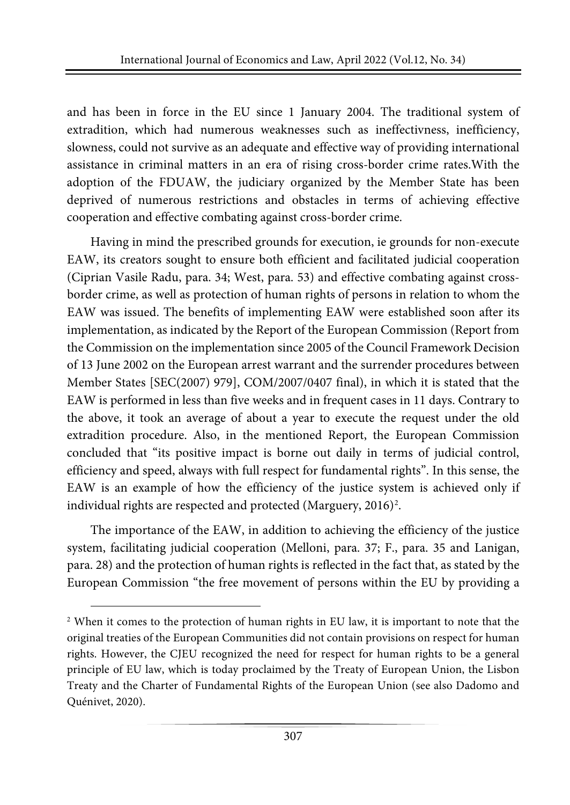and has been in force in the EU since 1 January 2004. The traditional system of extradition, which had numerous weaknesses such as ineffectivness, inefficiency, slowness, could not survive as an adequate and effective way of providing international assistance in criminal matters in an era of rising cross-border crime rates.With the adoption of the FDUAW, the judiciary organized by the Member State has been deprived of numerous restrictions and obstacles in terms of achieving effective cooperation and effective combating against cross-border crime.

Having in mind the prescribed grounds for execution, ie grounds for non-execute EAW, its creators sought to ensure both efficient and facilitated judicial cooperation (Ciprian Vasile Radu, para. 34; West, para. 53) and effective combating against crossborder crime, as well as protection of human rights of persons in relation to whom the EAW was issued. The benefits of implementing EAW were established soon after its implementation, as indicated by the Report of the European Commission (Report from the Commission on the implementation since 2005 of the Council Framework Decision of 13 June 2002 on the European arrest warrant and the surrender procedures between Member States [SEC(2007) 979], COM/2007/0407 final), in which it is stated that the EAW is performed in less than five weeks and in frequent cases in 11 days. Contrary to the above, it took an average of about a year to execute the request under the old extradition procedure. Also, in the mentioned Report, the European Commission concluded that "its positive impact is borne out daily in terms of judicial control, efficiency and speed, always with full respect for fundamental rights". In this sense, the EAW is an example of how the efficiency of the justice system is achieved only if individual rights are respected and protected (Marguery, [2](#page-4-0)016) $^2$ .

The importance of the EAW, in addition to achieving the efficiency of the justice system, facilitating judicial cooperation (Melloni, para. 37; F., para. 35 and Lanigan, para. 28) and the protection of human rights is reflected in the fact that, as stated by the European Commission "the free movement of persons within the EU by providing a

<span id="page-4-0"></span> $2$ <sup>2</sup> When it comes to the protection of human rights in EU law, it is important to note that the original treaties of the European Communities did not contain provisions on respect for human rights. However, the CJEU recognized the need for respect for human rights to be a general principle of EU law, which is today proclaimed by the Treaty of European Union, the Lisbon Treaty and the Charter of Fundamental Rights of the European Union (see also Dadomo and Quénivet, 2020).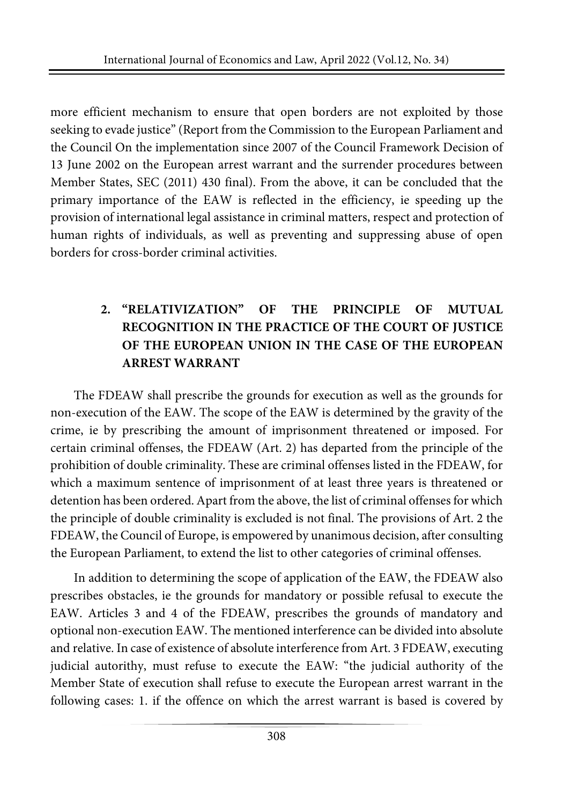more efficient mechanism to ensure that open borders are not exploited by those seeking to evade justice" (Report from the Commission to the European Parliament and the Council On the implementation since 2007 of the Council Framework Decision of 13 June 2002 on the European arrest warrant and the surrender procedures between Member States, SEC (2011) 430 final). From the above, it can be concluded that the primary importance of the EAW is reflected in the efficiency, ie speeding up the provision of international legal assistance in criminal matters, respect and protection of human rights of individuals, as well as preventing and suppressing abuse of open borders for cross-border criminal activities.

# **2. "RELATIVIZATION" OF THE PRINCIPLE OF MUTUAL RECOGNITION IN THE PRACTICE OF THE COURT OF JUSTICE OF THE EUROPEAN UNION IN THE CASE OF THE EUROPEAN ARREST WARRANT**

The FDEAW shall prescribe the grounds for execution as well as the grounds for non-execution of the EAW. The scope of the EAW is determined by the gravity of the crime, ie by prescribing the amount of imprisonment threatened or imposed. For certain criminal offenses, the FDEAW (Art. 2) has departed from the principle of the prohibition of double criminality. These are criminal offenses listed in the FDEAW, for which a maximum sentence of imprisonment of at least three years is threatened or detention has been ordered. Apart from the above, the list of criminal offenses for which the principle of double criminality is excluded is not final. The provisions of Art. 2 the FDEAW, the Council of Europe, is empowered by unanimous decision, after consulting the European Parliament, to extend the list to other categories of criminal offenses.

In addition to determining the scope of application of the EAW, the FDEAW also prescribes obstacles, ie the grounds for mandatory or possible refusal to execute the EAW. Articles 3 and 4 of the FDEAW, prescribes the grounds of mandatory and optional non-execution EAW. The mentioned interference can be divided into absolute and relative. In case of existence of absolute interference from Art. 3 FDEAW, executing judicial autorithy, must refuse to execute the EAW: "the judicial authority of the Member State of execution shall refuse to execute the European arrest warrant in the following cases: 1. if the offence on which the arrest warrant is based is covered by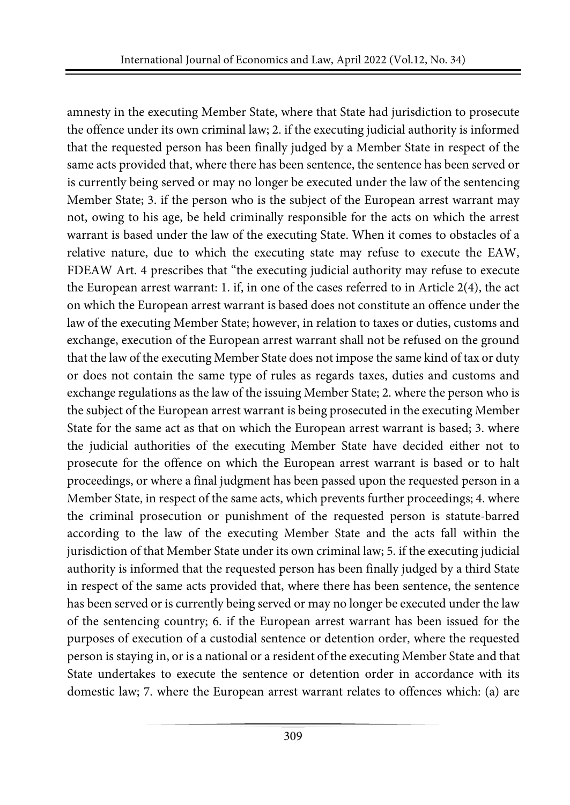amnesty in the executing Member State, where that State had jurisdiction to prosecute the offence under its own criminal law; 2. if the executing judicial authority is informed that the requested person has been finally judged by a Member State in respect of the same acts provided that, where there has been sentence, the sentence has been served or is currently being served or may no longer be executed under the law of the sentencing Member State; 3. if the person who is the subject of the European arrest warrant may not, owing to his age, be held criminally responsible for the acts on which the arrest warrant is based under the law of the executing State. When it comes to obstacles of a relative nature, due to which the executing state may refuse to execute the EAW, FDEAW Art. 4 prescribes that "the executing judicial authority may refuse to execute the European arrest warrant: 1. if, in one of the cases referred to in Article 2(4), the act on which the European arrest warrant is based does not constitute an offence under the law of the executing Member State; however, in relation to taxes or duties, customs and exchange, execution of the European arrest warrant shall not be refused on the ground that the law of the executing Member State does not impose the same kind of tax or duty or does not contain the same type of rules as regards taxes, duties and customs and exchange regulations as the law of the issuing Member State; 2. where the person who is the subject of the European arrest warrant is being prosecuted in the executing Member State for the same act as that on which the European arrest warrant is based; 3. where the judicial authorities of the executing Member State have decided either not to prosecute for the offence on which the European arrest warrant is based or to halt proceedings, or where a final judgment has been passed upon the requested person in a Member State, in respect of the same acts, which prevents further proceedings; 4. where the criminal prosecution or punishment of the requested person is statute-barred according to the law of the executing Member State and the acts fall within the jurisdiction of that Member State under its own criminal law; 5. if the executing judicial authority is informed that the requested person has been finally judged by a third State in respect of the same acts provided that, where there has been sentence, the sentence has been served or is currently being served or may no longer be executed under the law of the sentencing country; 6. if the European arrest warrant has been issued for the purposes of execution of a custodial sentence or detention order, where the requested person is staying in, or is a national or a resident of the executing Member State and that State undertakes to execute the sentence or detention order in accordance with its domestic law; 7. where the European arrest warrant relates to offences which: (a) are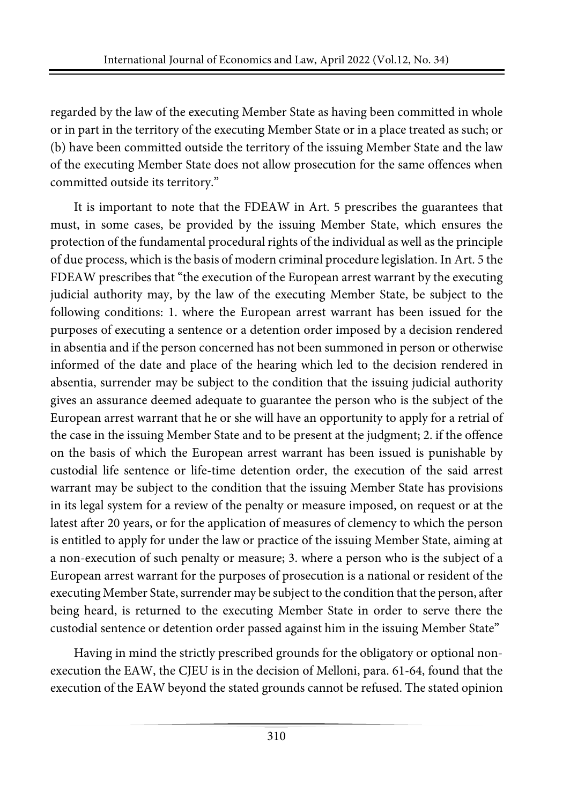regarded by the law of the executing Member State as having been committed in whole or in part in the territory of the executing Member State or in a place treated as such; or (b) have been committed outside the territory of the issuing Member State and the law of the executing Member State does not allow prosecution for the same offences when committed outside its territory."

It is important to note that the FDEAW in Art. 5 prescribes the guarantees that must, in some cases, be provided by the issuing Member State, which ensures the protection of the fundamental procedural rights of the individual as well as the principle of due process, which is the basis of modern criminal procedure legislation. In Art. 5 the FDEAW prescribes that "the execution of the European arrest warrant by the executing judicial authority may, by the law of the executing Member State, be subject to the following conditions: 1. where the European arrest warrant has been issued for the purposes of executing a sentence or a detention order imposed by a decision rendered in absentia and if the person concerned has not been summoned in person or otherwise informed of the date and place of the hearing which led to the decision rendered in absentia, surrender may be subject to the condition that the issuing judicial authority gives an assurance deemed adequate to guarantee the person who is the subject of the European arrest warrant that he or she will have an opportunity to apply for a retrial of the case in the issuing Member State and to be present at the judgment; 2. if the offence on the basis of which the European arrest warrant has been issued is punishable by custodial life sentence or life-time detention order, the execution of the said arrest warrant may be subject to the condition that the issuing Member State has provisions in its legal system for a review of the penalty or measure imposed, on request or at the latest after 20 years, or for the application of measures of clemency to which the person is entitled to apply for under the law or practice of the issuing Member State, aiming at a non-execution of such penalty or measure; 3. where a person who is the subject of a European arrest warrant for the purposes of prosecution is a national or resident of the executing Member State, surrender may be subject to the condition that the person, after being heard, is returned to the executing Member State in order to serve there the custodial sentence or detention order passed against him in the issuing Member State"

Having in mind the strictly prescribed grounds for the obligatory or optional nonexecution the EAW, the CJEU is in the decision of Melloni, para. 61-64, found that the execution of the EAW beyond the stated grounds cannot be refused. The stated opinion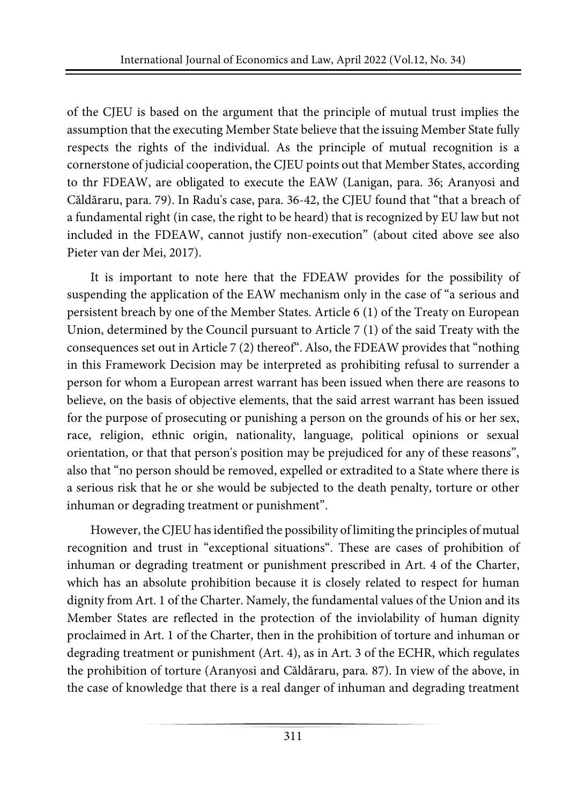of the CJEU is based on the argument that the principle of mutual trust implies the assumption that the executing Member State believe that the issuing Member State fully respects the rights of the individual. As the principle of mutual recognition is a cornerstone of judicial cooperation, the CJEU points out that Member States, according to thr FDEAW, are obligated to execute the EAW (Lanigan, para. 36; Aranyosi and Căldăraru, para. 79). In Radu's case, para. 36-42, the CJEU found that "that a breach of a fundamental right (in case, the right to be heard) that is recognized by EU law but not included in the FDEAW, cannot justify non-execution" (about cited above see also Pieter van der Mei, 2017).

It is important to note here that the FDEAW provides for the possibility of suspending the application of the EAW mechanism only in the case of "a serious and persistent breach by one of the Member States. Article 6 (1) of the Treaty on European Union, determined by the Council pursuant to Article 7 (1) of the said Treaty with the consequences set out in Article  $7(2)$  thereof". Also, the FDEAW provides that "nothing" in this Framework Decision may be interpreted as prohibiting refusal to surrender a person for whom a European arrest warrant has been issued when there are reasons to believe, on the basis of objective elements, that the said arrest warrant has been issued for the purpose of prosecuting or punishing a person on the grounds of his or her sex, race, religion, ethnic origin, nationality, language, political opinions or sexual orientation, or that that person's position may be prejudiced for any of these reasons", also that "no person should be removed, expelled or extradited to a State where there is a serious risk that he or she would be subjected to the death penalty, torture or other inhuman or degrading treatment or punishment".

However, the CJEU hasidentified the possibility of limiting the principles of mutual recognition and trust in "exceptional situations". These are cases of prohibition of inhuman or degrading treatment or punishment prescribed in Art. 4 of the Charter, which has an absolute prohibition because it is closely related to respect for human dignity from Art. 1 of the Charter. Namely, the fundamental values of the Union and its Member States are reflected in the protection of the inviolability of human dignity proclaimed in Art. 1 of the Charter, then in the prohibition of torture and inhuman or degrading treatment or punishment (Art. 4), as in Art. 3 of the ECHR, which regulates the prohibition of torture (Aranyosi and Căldăraru, para. 87). In view of the above, in the case of knowledge that there is a real danger of inhuman and degrading treatment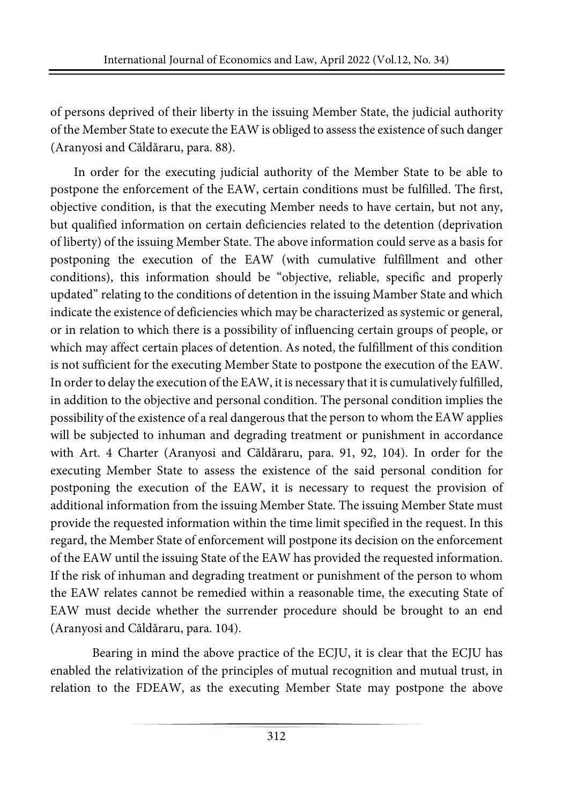of persons deprived of their liberty in the issuing Member State, the judicial authority of the Member State to execute the EAW is obliged to assess the existence ofsuch danger (Aranyosi and Căldăraru, para. 88).

In order for the executing judicial authority of the Member State to be able to postpone the enforcement of the EAW, certain conditions must be fulfilled. The first, objective condition, is that the executing Member needs to have certain, but not any, but qualified information on certain deficiencies related to the detention (deprivation of liberty) of the issuing Member State. The above information could serve as a basis for postponing the execution of the EAW (with cumulative fulfillment and other conditions), this information should be "objective, reliable, specific and properly updated" relating to the conditions of detention in the issuing Mamber State and which indicate the existence of deficiencies which may be characterized as systemic or general, or in relation to which there is a possibility of influencing certain groups of people, or which may affect certain places of detention. As noted, the fulfillment of this condition is not sufficient for the executing Member State to postpone the execution of the EAW. In order to delay the execution of the EAW, it is necessary that it is cumulatively fulfilled, in addition to the objective and personal condition. The personal condition implies the possibility of the existence of a real dangerous that the person to whom the EAW applies will be subjected to inhuman and degrading treatment or punishment in accordance with Art. 4 Charter (Aranyosi and Căldăraru, para. 91, 92, 104). In order for the executing Member State to assess the existence of the said personal condition for postponing the execution of the EAW, it is necessary to request the provision of additional information from the issuing Member State. The issuing Member State must provide the requested information within the time limit specified in the request. In this regard, the Member State of enforcement will postpone its decision on the enforcement of the EAW until the issuing State of the EAW has provided the requested information. If the risk of inhuman and degrading treatment or punishment of the person to whom the EAW relates cannot be remedied within a reasonable time, the executing State of EAW must decide whether the surrender procedure should be brought to an end (Aranyosi and Căldăraru, para. 104).

Bearing in mind the above practice of the ECJU, it is clear that the ECJU has enabled the relativization of the principles of mutual recognition and mutual trust, in relation to the FDEAW, as the executing Member State may postpone the above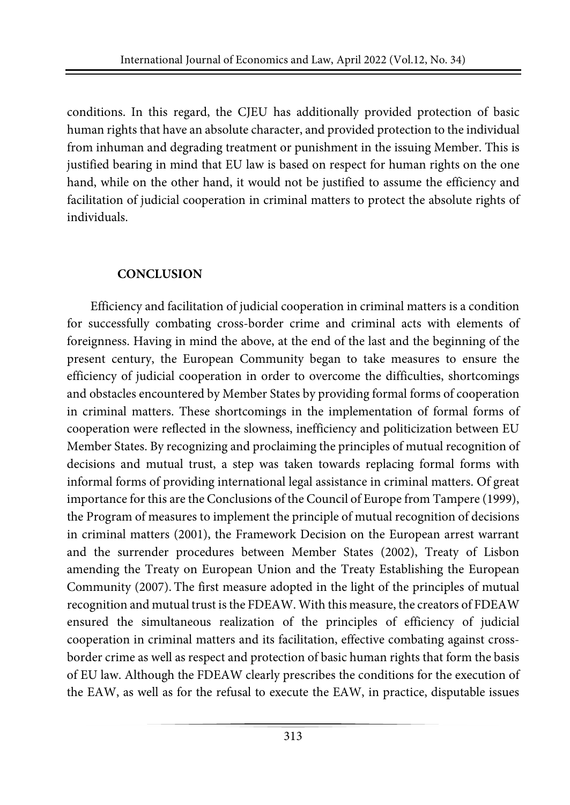conditions. In this regard, the CJEU has additionally provided protection of basic human rights that have an absolute character, and provided protection to the individual from inhuman and degrading treatment or punishment in the issuing Member. This is justified bearing in mind that EU law is based on respect for human rights on the one hand, while on the other hand, it would not be justified to assume the efficiency and facilitation of judicial cooperation in criminal matters to protect the absolute rights of individuals.

### **CONCLUSION**

Efficiency and facilitation of judicial cooperation in criminal matters is a condition for successfully combating cross-border crime and criminal acts with elements of foreignness. Having in mind the above, at the end of the last and the beginning of the present century, the European Community began to take measures to ensure the efficiency of judicial cooperation in order to overcome the difficulties, shortcomings and obstacles encountered by Member States by providing formal forms of cooperation in criminal matters. These shortcomings in the implementation of formal forms of cooperation were reflected in the slowness, inefficiency and politicization between EU Member States. By recognizing and proclaiming the principles of mutual recognition of decisions and mutual trust, a step was taken towards replacing formal forms with informal forms of providing international legal assistance in criminal matters. Of great importance for this are the Conclusions of the Council of Europe from Tampere (1999), the Program of measures to implement the principle of mutual recognition of decisions in criminal matters (2001), the Framework Decision on the European arrest warrant and the surrender procedures between Member States (2002), Treaty of Lisbon amending the Treaty on European Union and the Treaty Establishing the European Community (2007). The first measure adopted in the light of the principles of mutual recognition and mutual trust is the FDEAW. With this measure, the creators of FDEAW ensured the simultaneous realization of the principles of efficiency of judicial cooperation in criminal matters and its facilitation, effective combating against crossborder crime as well as respect and protection of basic human rights that form the basis of EU law. Although the FDEAW clearly prescribes the conditions for the execution of the EAW, as well as for the refusal to execute the EAW, in practice, disputable issues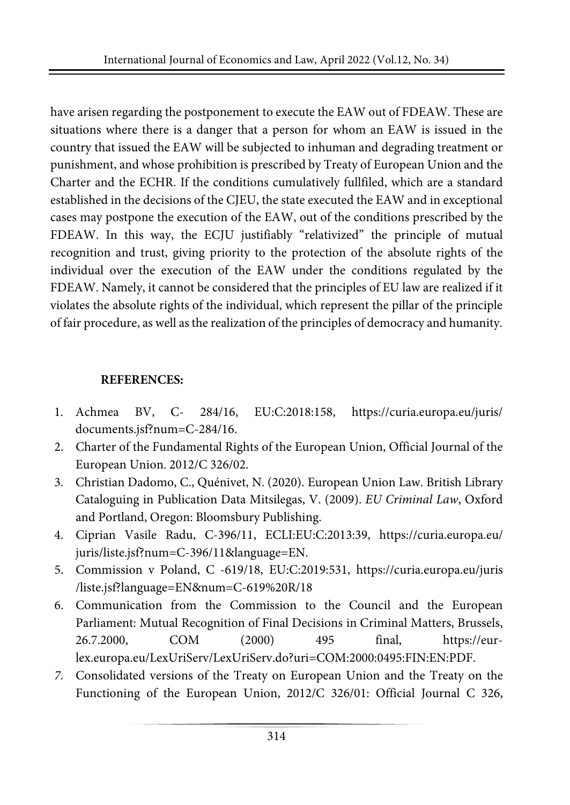have arisen regarding the postponement to execute the EAW out of FDEAW. These are situations where there is a danger that a person for whom an EAW is issued in the country that issued the EAW will be subjected to inhuman and degrading treatment or punishment, and whose prohibition is prescribed by Treaty of European Union and the Charter and the ECHR. If the conditions cumulatively fullfiled, which are a standard established in the decisions of the CJEU, the state executed the EAW and in exceptional cases may postpone the execution of the EAW, out of the conditions prescribed by the FDEAW. In this way, the ECJU justifiably "relativized" the principle of mutual recognition and trust, giving priority to the protection of the absolute rights of the individual over the execution of the EAW under the conditions regulated by the FDEAW. Namely, it cannot be considered that the principles of EU law are realized if it violates the absolute rights of the individual, which represent the pillar of the principle of fair procedure, as well asthe realization of the principles of democracy and humanity.

### **REFERENCES:**

- 1. Achmea BV, C- 284/16, EU:C:2018:158, [https://curia.europa.eu/juris/](https://curia.europa.eu/juris/documents.jsf?num=C-284/16) [documents.jsf?num=C-284/16.](https://curia.europa.eu/juris/documents.jsf?num=C-284/16)
- 2. Charter of the Fundamental Rights of the European Union, Official Journal of the European Union. 2012/C 326/02.
- 3. Christian Dadomo, C., Quénivet, N. (2020). European Union Law. British Library Cataloguing in Publication Data Mitsilegas, V. (2009). *EU Criminal Law*, Oxford and Portland, Oregon: Bloomsbury Publishing.
- 4. Ciprian Vasile Radu, C-396/11, ECLI:EU:C:2013:39, [https://curia.europa.eu/](https://curia.europa.eu/juris/liste.jsf?num=C-396/11&language=EN) [juris/liste.jsf?num=C-396/11&language=EN.](https://curia.europa.eu/juris/liste.jsf?num=C-396/11&language=EN)
- 5. Commission v Poland, C -619/18, EU:C:2019:531, [https://curia.europa.eu/juris](https://curia.europa.eu/juris/liste.jsf?language=EN&num=C-619%20R/18) [/liste.jsf?language=EN&num=C-619%20R/18](https://curia.europa.eu/juris/liste.jsf?language=EN&num=C-619%20R/18)
- 6. Communication from the Commission to the Council and the European Parliament: Mutual Recognition of Final Decisions in Criminal Matters, Brussels, 26.7.2000, COM (2000) 495 final, [https://eur](https://eur-lex.europa.eu/LexUriServ/LexUriServ.do?uri=COM:2000:0495:FIN:EN:PDF)[lex.europa.eu/LexUriServ/LexUriServ.do?uri=COM:2000:0495:FIN:EN:PDF.](https://eur-lex.europa.eu/LexUriServ/LexUriServ.do?uri=COM:2000:0495:FIN:EN:PDF)
- *7.* Consolidated versions of the Treaty on European Union and the Treaty on the Functioning of the European Union, 2012/C 326/01: Official Journal C 326,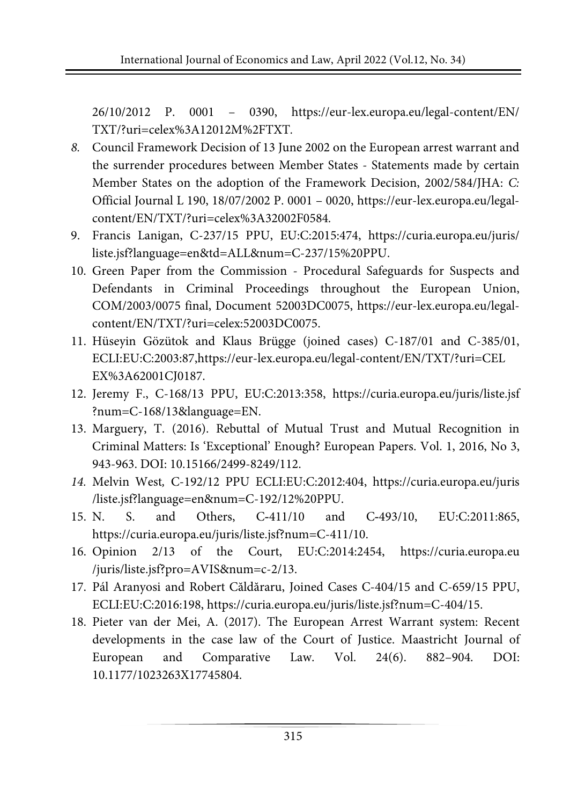26/10/2012 P. 0001 – 0390, [https://eur-lex.europa.eu/legal-content/EN/](https://eur-lex.europa.eu/legal-content/EN/TXT/?uri=celex%3A12012M%2FTXT) [TXT/?uri=celex%3A12012M%2FTXT](https://eur-lex.europa.eu/legal-content/EN/TXT/?uri=celex%3A12012M%2FTXT)*.*

- *8.* Council Framework Decision of 13 June 2002 on the European arrest warrant and the surrender procedures between Member States - Statements made by certain Member States on the adoption of the Framework Decision, 2002/584/JHA: *C:* Official Journal L 190, 18/07/2002 P. 0001 – 0020, [https://eur-lex.europa.eu/legal](https://eur-lex.europa.eu/legal-content/EN/TXT/?uri=celex%3A32002F0584)[content/EN/TXT/?uri=celex%3A32002F0584](https://eur-lex.europa.eu/legal-content/EN/TXT/?uri=celex%3A32002F0584)*.*
- 9. Francis Lanigan, [C-237/15](https://eur-lex.europa.eu/legal-content/HR/AUTO/?uri=ecli:ECLI%3AEU%3AC%3A2015%3A474&locale=hr) PPU, [EU:C:2015:474,](https://eur-lex.europa.eu/legal-content/redirect/?urn=ecli:ECLI%3AEU%3AC%3A2015%3A474&lang=HR&format=pdf&target=CourtTab) [https://curia.europa.eu/juris/](https://curia.europa.eu/juris/liste.jsf?language=en&td=ALL&num=C-237/15%20PPU) [liste.jsf?language=en&td=ALL&num=C-237/15%20PPU.](https://curia.europa.eu/juris/liste.jsf?language=en&td=ALL&num=C-237/15%20PPU)
- 10. Green Paper from the Commission Procedural Safeguards for Suspects and Defendants in Criminal Proceedings throughout the European Union, COM/2003/0075 final, Document 52003DC0075, [https://eur-lex.europa.eu/legal](https://eur-lex.europa.eu/legal-content/EN/TXT/?uri=celex:52003DC0075)[content/EN/TXT/?uri=celex:52003DC0075.](https://eur-lex.europa.eu/legal-content/EN/TXT/?uri=celex:52003DC0075)
- 11. Hüseyin Gözütok and Klaus Brügge (joined cases) C-187/01 and C-385/01, ECLI:EU:C:2003:87[,https://eur-lex.europa.eu/legal-content/EN/TXT/?uri=CEL](https://eur-lex.europa.eu/legal-content/EN/TXT/?uri=CELEX%3A62001CJ0187) [EX%3A62001CJ0187.](https://eur-lex.europa.eu/legal-content/EN/TXT/?uri=CELEX%3A62001CJ0187)
- 12. Jeremy F., [C-168/13](https://eur-lex.europa.eu/legal-content/HR/AUTO/?uri=ecli:ECLI%3AEU%3AC%3A2013%3A358&locale=hr) PPU, [EU:C:2013:358,](https://eur-lex.europa.eu/legal-content/redirect/?urn=ecli:ECLI%3AEU%3AC%3A2013%3A358&lang=HR&format=pdf&target=CourtTab) [https://curia.europa.eu/juris/liste.jsf](https://curia.europa.eu/juris/liste.jsf?num=C-168/13&language=EN) [?num=C-168/13&language=EN.](https://curia.europa.eu/juris/liste.jsf?num=C-168/13&language=EN)
- 13. Marguery, T. (2016). Rebuttal of Mutual Trust and Mutual Recognition in Criminal Matters: Is 'Exceptional' Enough? European Papers. Vol. 1, 2016, No 3, 943-963. DOI: 10.15166/2499-8249/112.
- *14.* Melvin West*,* C-192/12 PPU ECLI:EU:C:2012:404, [https://curia.europa.eu/juris](https://curia.europa.eu/juris/liste.jsf?language=en&num=C-192/12%20PPU) [/liste.jsf?language=en&num=C-192/12%20PPU.](https://curia.europa.eu/juris/liste.jsf?language=en&num=C-192/12%20PPU)
- 15. N. S. and Others, C‑411/10 and C‑493/10, EU:C:2011:865, [https://curia.europa.eu/juris/liste.jsf?num=C-411/10.](https://curia.europa.eu/juris/liste.jsf?num=C-411/10)
- 16. Opinion 2/13 of the Court, [EU:C:2014:2454,](https://eur-lex.europa.eu/legal-content/redirect/?urn=ecli:ECLI%3AEU%3AC%3A2014%3A2454&lang=HR&format=pdf&target=CourtTab) [https://curia.europa.eu](https://curia.europa.eu/juris/liste.jsf?pro=AVIS&num=c-2/13) [/juris/liste.jsf?pro=AVIS&num=c-2/13.](https://curia.europa.eu/juris/liste.jsf?pro=AVIS&num=c-2/13)
- 17. Pál Aranyosi and Robert Căldăraru, Joined Cases C-404/15 and C-659/15 PPU, ECLI:EU:C:2016:198, [https://curia.europa.eu/juris/liste.jsf?num=C-404/15.](https://curia.europa.eu/juris/liste.jsf?num=C-404/15)
- 18. Pieter van der Mei, А. (2017). The European Arrest Warrant system: Recent developments in the case law of the Court of Justice. Maastricht Journal of European and Comparative Law. Vol. 24(6). 882–904. DOI: 10.1177/1023263X17745804.